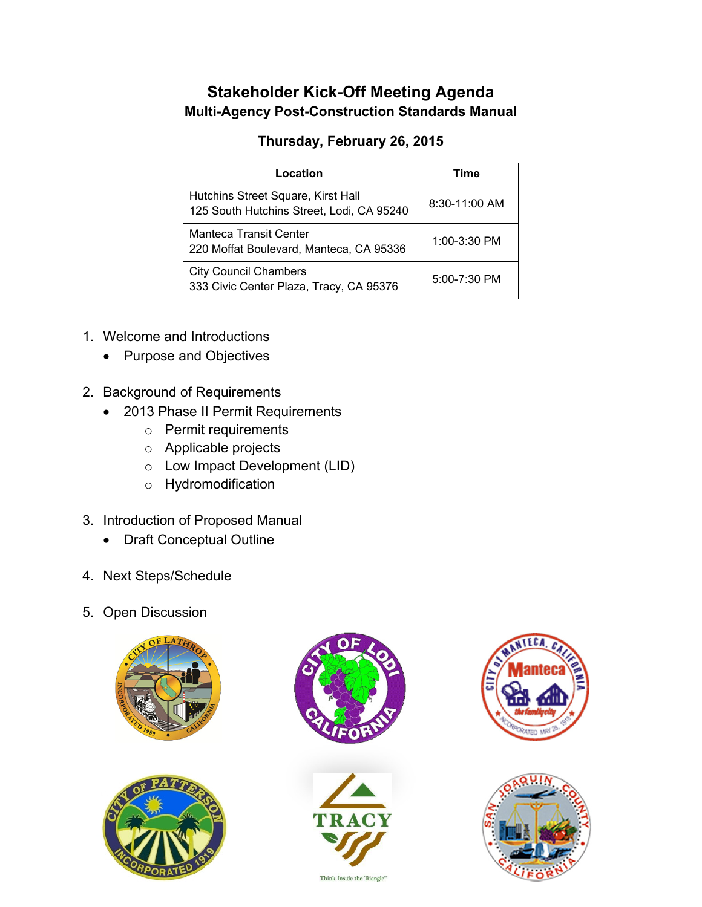## **Stakeholder Kick-Off Meeting Agenda Multi-Agency Post-Construction Standards Manual**

## **Thursday, February 26, 2015**

| Location                                                                        | Time             |
|---------------------------------------------------------------------------------|------------------|
| Hutchins Street Square, Kirst Hall<br>125 South Hutchins Street, Lodi, CA 95240 | $8:30-11:00$ AM  |
| <b>Manteca Transit Center</b><br>220 Moffat Boulevard, Manteca, CA 95336        | $1:00-3:30$ PM   |
| <b>City Council Chambers</b><br>333 Civic Center Plaza, Tracy, CA 95376         | $5:00 - 7:30$ PM |

- 1. Welcome and Introductions
	- Purpose and Objectives
- 2. Background of Requirements
	- 2013 Phase II Permit Requirements
		- o Permit requirements
		- o Applicable projects
		- o Low Impact Development (LID)
		- o Hydromodification
- 3. Introduction of Proposed Manual
	- Draft Conceptual Outline
- 4. Next Steps/Schedule
- 5. Open Discussion











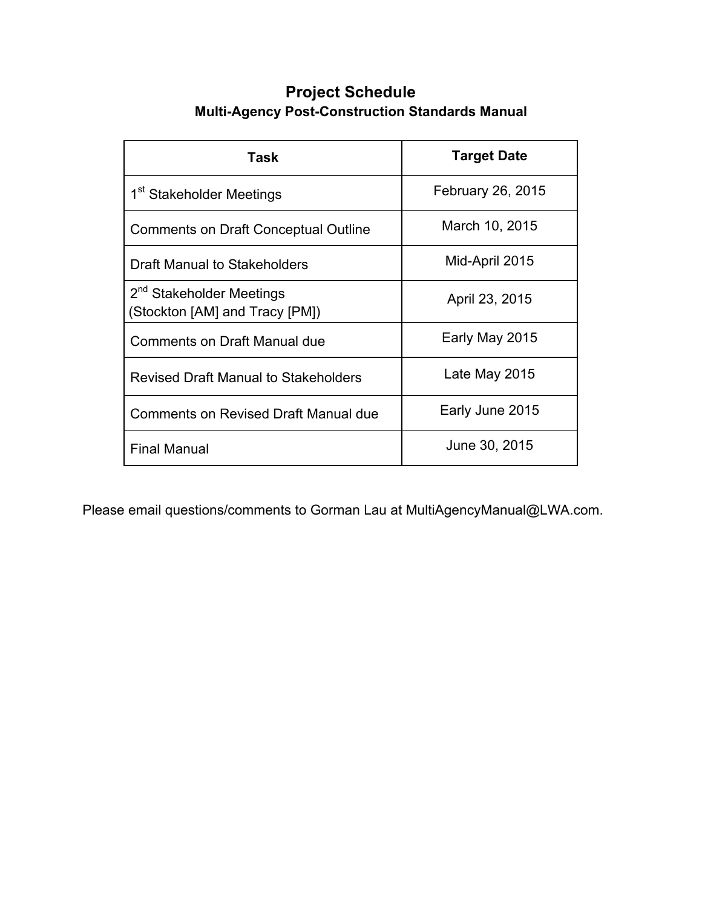## **Project Schedule Multi-Agency Post-Construction Standards Manual**

| Task                                                                   | <b>Target Date</b> |
|------------------------------------------------------------------------|--------------------|
| 1 <sup>st</sup> Stakeholder Meetings                                   | February 26, 2015  |
| <b>Comments on Draft Conceptual Outline</b>                            | March 10, 2015     |
| <b>Draft Manual to Stakeholders</b>                                    | Mid-April 2015     |
| 2 <sup>nd</sup> Stakeholder Meetings<br>(Stockton [AM] and Tracy [PM]) | April 23, 2015     |
| <b>Comments on Draft Manual due</b>                                    | Early May 2015     |
| <b>Revised Draft Manual to Stakeholders</b>                            | Late May 2015      |
| Comments on Revised Draft Manual due                                   | Early June 2015    |
| <b>Final Manual</b>                                                    | June 30, 2015      |

Please email questions/comments to Gorman Lau at MultiAgencyManual@LWA.com.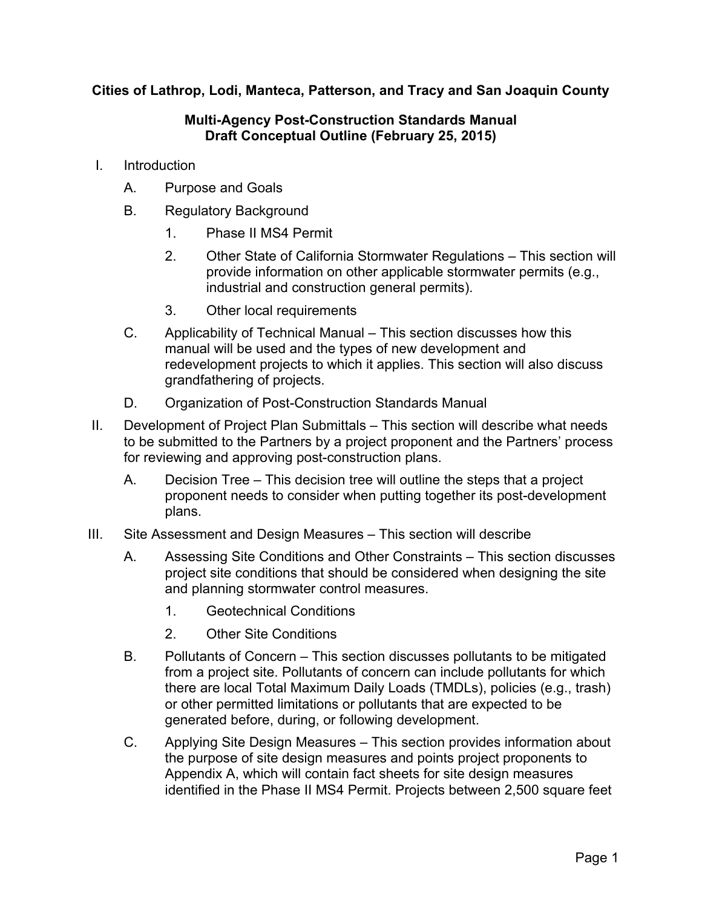**Cities of Lathrop, Lodi, Manteca, Patterson, and Tracy and San Joaquin County** 

## **Multi-Agency Post-Construction Standards Manual Draft Conceptual Outline (February 25, 2015)**

- I. Introduction
	- A. Purpose and Goals
	- B. Regulatory Background
		- 1. Phase II MS4 Permit
		- 2. Other State of California Stormwater Regulations This section will provide information on other applicable stormwater permits (e.g., industrial and construction general permits).
		- 3. Other local requirements
	- C. Applicability of Technical Manual This section discusses how this manual will be used and the types of new development and redevelopment projects to which it applies. This section will also discuss grandfathering of projects.
	- D. Organization of Post-Construction Standards Manual
- II. Development of Project Plan Submittals This section will describe what needs to be submitted to the Partners by a project proponent and the Partners' process for reviewing and approving post-construction plans.
	- A. Decision Tree This decision tree will outline the steps that a project proponent needs to consider when putting together its post-development plans.
- III. Site Assessment and Design Measures This section will describe
	- A. Assessing Site Conditions and Other Constraints This section discusses project site conditions that should be considered when designing the site and planning stormwater control measures.
		- 1. Geotechnical Conditions
		- 2. Other Site Conditions
	- B. Pollutants of Concern This section discusses pollutants to be mitigated from a project site. Pollutants of concern can include pollutants for which there are local Total Maximum Daily Loads (TMDLs), policies (e.g., trash) or other permitted limitations or pollutants that are expected to be generated before, during, or following development.
	- C. Applying Site Design Measures This section provides information about the purpose of site design measures and points project proponents to Appendix A, which will contain fact sheets for site design measures identified in the Phase II MS4 Permit. Projects between 2,500 square feet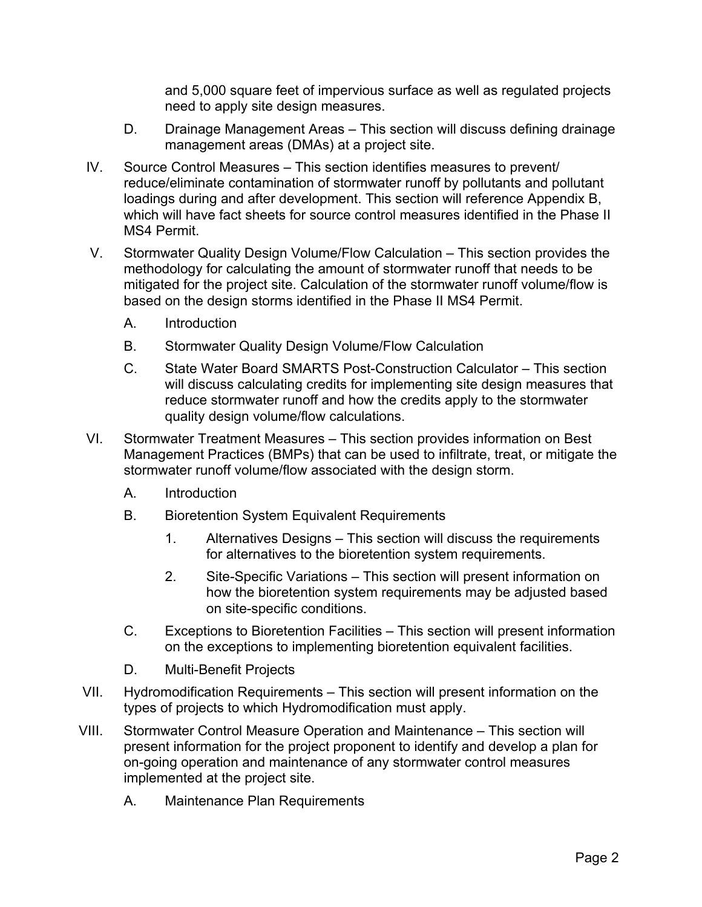and 5,000 square feet of impervious surface as well as regulated projects need to apply site design measures.

- D. Drainage Management Areas This section will discuss defining drainage management areas (DMAs) at a project site.
- IV. Source Control Measures This section identifies measures to prevent/ reduce/eliminate contamination of stormwater runoff by pollutants and pollutant loadings during and after development. This section will reference Appendix B, which will have fact sheets for source control measures identified in the Phase II MS4 Permit.
- V. Stormwater Quality Design Volume/Flow Calculation This section provides the methodology for calculating the amount of stormwater runoff that needs to be mitigated for the project site. Calculation of the stormwater runoff volume/flow is based on the design storms identified in the Phase II MS4 Permit.
	- A. Introduction
	- B. Stormwater Quality Design Volume/Flow Calculation
	- C. State Water Board SMARTS Post-Construction Calculator This section will discuss calculating credits for implementing site design measures that reduce stormwater runoff and how the credits apply to the stormwater quality design volume/flow calculations.
- VI. Stormwater Treatment Measures This section provides information on Best Management Practices (BMPs) that can be used to infiltrate, treat, or mitigate the stormwater runoff volume/flow associated with the design storm.
	- A. Introduction
	- B. Bioretention System Equivalent Requirements
		- 1. Alternatives Designs This section will discuss the requirements for alternatives to the bioretention system requirements.
		- 2. Site-Specific Variations This section will present information on how the bioretention system requirements may be adjusted based on site-specific conditions.
	- C. Exceptions to Bioretention Facilities This section will present information on the exceptions to implementing bioretention equivalent facilities.
	- D. Multi-Benefit Projects
- VII. Hydromodification Requirements This section will present information on the types of projects to which Hydromodification must apply.
- VIII. Stormwater Control Measure Operation and Maintenance This section will present information for the project proponent to identify and develop a plan for on-going operation and maintenance of any stormwater control measures implemented at the project site.
	- A. Maintenance Plan Requirements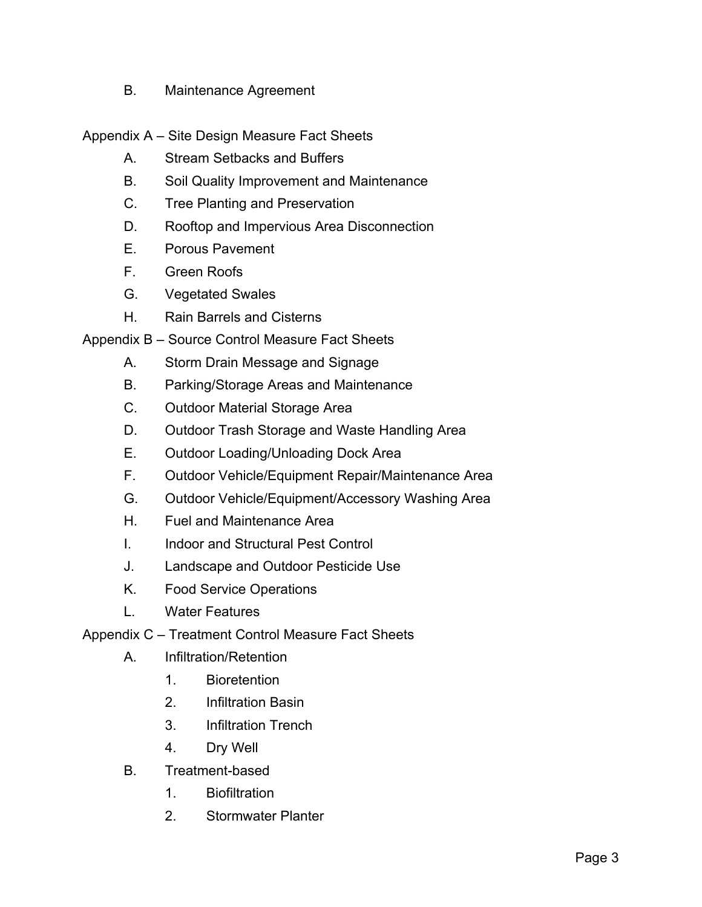B. Maintenance Agreement

Appendix A – Site Design Measure Fact Sheets

- A. Stream Setbacks and Buffers
- B. Soil Quality Improvement and Maintenance
- C. Tree Planting and Preservation
- D. Rooftop and Impervious Area Disconnection
- E. Porous Pavement
- F. Green Roofs
- G. Vegetated Swales
- H. Rain Barrels and Cisterns

Appendix B – Source Control Measure Fact Sheets

- A. Storm Drain Message and Signage
- B. Parking/Storage Areas and Maintenance
- C. Outdoor Material Storage Area
- D. Outdoor Trash Storage and Waste Handling Area
- E. Outdoor Loading/Unloading Dock Area
- F. Outdoor Vehicle/Equipment Repair/Maintenance Area
- G. Outdoor Vehicle/Equipment/Accessory Washing Area
- H. Fuel and Maintenance Area
- I. Indoor and Structural Pest Control
- J. Landscape and Outdoor Pesticide Use
- K. Food Service Operations
- L. Water Features

Appendix C – Treatment Control Measure Fact Sheets

- A. Infiltration/Retention
	- 1. Bioretention
	- 2. Infiltration Basin
	- 3. Infiltration Trench
	- 4. Dry Well
- B. Treatment-based
	- 1. Biofiltration
	- 2. Stormwater Planter